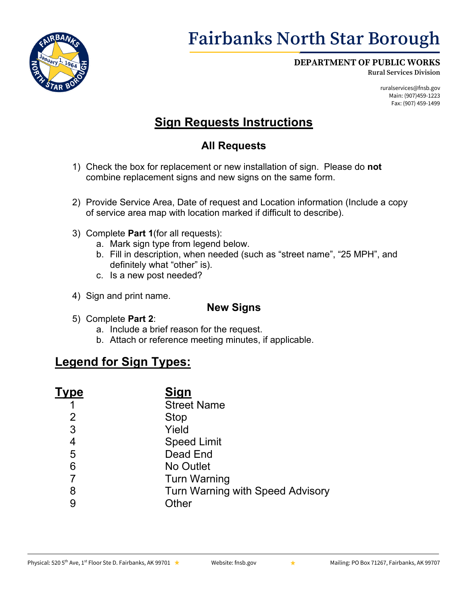

# **Fairbanks North Star Borough**

#### **DEPARTMENT OF PUBLIC WORKS**

**Rural Services Division**

ruralservices@fnsb.gov Main: (907)459-1223 Fax: (907) 459-1499

## **Sign Requests Instructions**

### **All Requests**

- 1) Check the box for replacement or new installation of sign. Please do **not** combine replacement signs and new signs on the same form.
- 2) Provide Service Area, Date of request and Location information (Include a copy of service area map with location marked if difficult to describe).
- 3) Complete **Part 1**(for all requests):
	- a. Mark sign type from legend below.
	- b. Fill in description, when needed (such as "street name", "25 MPH", and definitely what "other" is).
	- c. Is a new post needed?
- 4) Sign and print name.

#### **New Signs**

- 5) Complete **Part 2**:
	- a. Include a brief reason for the request.
	- b. Attach or reference meeting minutes, if applicable.

### **Legend for Sign Types:**

| Гуре | <u>Sign</u>                             |
|------|-----------------------------------------|
|      | <b>Street Name</b>                      |
| 2    | <b>Stop</b>                             |
| 3    | Yield                                   |
| 4    | <b>Speed Limit</b>                      |
| 5    | Dead End                                |
| 6    | No Outlet                               |
| 7    | <b>Turn Warning</b>                     |
| 8    | <b>Turn Warning with Speed Advisory</b> |
| 9    | <b>Other</b>                            |
|      |                                         |